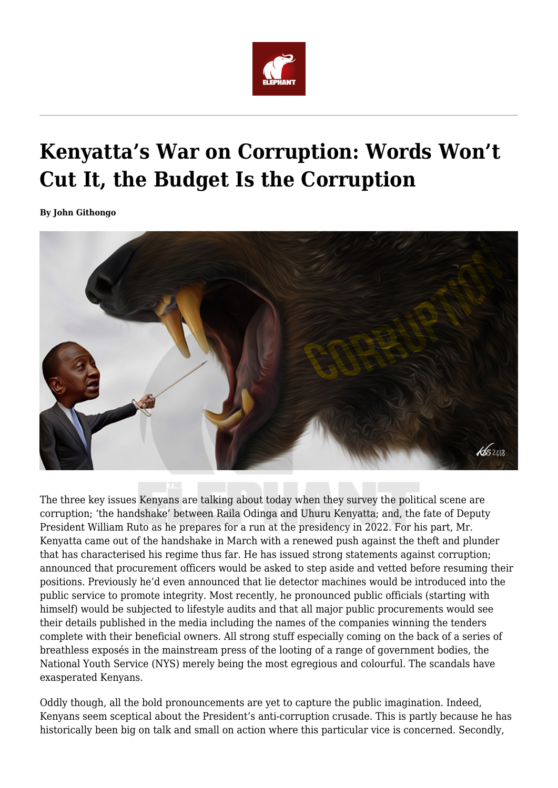

## **Kenyatta's War on Corruption: Words Won't Cut It, the Budget Is the Corruption**

**By John Githongo**



The three key issues Kenyans are talking about today when they survey the political scene are corruption; 'the handshake' between Raila Odinga and Uhuru Kenyatta; and, the fate of Deputy President William Ruto as he prepares for a run at the presidency in 2022. For his part, Mr. Kenyatta came out of the handshake in March with a renewed push against the theft and plunder that has characterised his regime thus far. He has issued strong statements against corruption; announced that procurement officers would be asked to step aside and vetted before resuming their positions. Previously he'd even announced that lie detector machines would be introduced into the public service to promote integrity. Most recently, he pronounced public officials (starting with himself) would be subjected to lifestyle audits and that all major public procurements would see their details published in the media including the names of the companies winning the tenders complete with their beneficial owners. All strong stuff especially coming on the back of a series of breathless exposés in the mainstream press of the looting of a range of government bodies, the National Youth Service (NYS) merely being the most egregious and colourful. The scandals have exasperated Kenyans.

Oddly though, all the bold pronouncements are yet to capture the public imagination. Indeed, Kenyans seem sceptical about the President's anti-corruption crusade. This is partly because he has historically been big on talk and small on action where this particular vice is concerned. Secondly,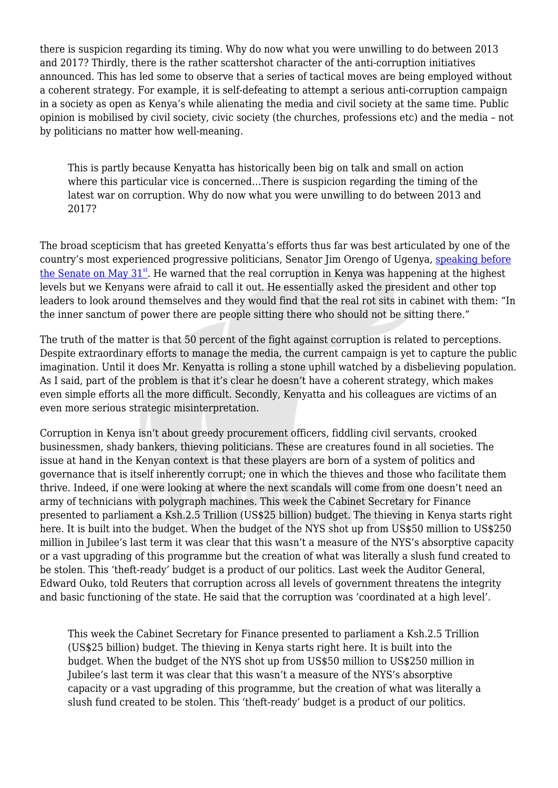there is suspicion regarding its timing. Why do now what you were unwilling to do between 2013 and 2017? Thirdly, there is the rather scattershot character of the anti-corruption initiatives announced. This has led some to observe that a series of tactical moves are being employed without a coherent strategy. For example, it is self-defeating to attempt a serious anti-corruption campaign in a society as open as Kenya's while alienating the media and civil society at the same time. Public opinion is mobilised by civil society, civic society (the churches, professions etc) and the media – not by politicians no matter how well-meaning.

This is partly because Kenyatta has historically been big on talk and small on action where this particular vice is concerned...There is suspicion regarding the timing of the latest war on corruption. Why do now what you were unwilling to do between 2013 and 2017?

The broad scepticism that has greeted Kenyatta's efforts thus far was best articulated by one of the country's most experienced progressive politicians, Senator Jim Orengo of Ugenya, [speaking before](https://www.youtube.com/watch?v=vqkS7rgvcrY&feature=youtu.be) the Senate on May  $31<sup>st</sup>$  $31<sup>st</sup>$  $31<sup>st</sup>$ . He warned that the real corruption in Kenya was happening at the highest levels but we Kenyans were afraid to call it out. He essentially asked the president and other top leaders to look around themselves and they would find that the real rot sits in cabinet with them: "In the inner sanctum of power there are people sitting there who should not be sitting there."

The truth of the matter is that 50 percent of the fight against corruption is related to perceptions. Despite extraordinary efforts to manage the media, the current campaign is yet to capture the public imagination. Until it does Mr. Kenyatta is rolling a stone uphill watched by a disbelieving population. As I said, part of the problem is that it's clear he doesn't have a coherent strategy, which makes even simple efforts all the more difficult. Secondly, Kenyatta and his colleagues are victims of an even more serious strategic misinterpretation.

Corruption in Kenya isn't about greedy procurement officers, fiddling civil servants, crooked businessmen, shady bankers, thieving politicians. These are creatures found in all societies. The issue at hand in the Kenyan context is that these players are born of a system of politics and governance that is itself inherently corrupt; one in which the thieves and those who facilitate them thrive. Indeed, if one were looking at where the next scandals will come from one doesn't need an army of technicians with polygraph machines. This week the Cabinet Secretary for Finance presented to parliament a Ksh.2.5 Trillion (US\$25 billion) budget. The thieving in Kenya starts right here. It is built into the budget. When the budget of the NYS shot up from US\$50 million to US\$250 million in Jubilee's last term it was clear that this wasn't a measure of the NYS's absorptive capacity or a vast upgrading of this programme but the creation of what was literally a slush fund created to be stolen. This 'theft-ready' budget is a product of our politics. Last week the Auditor General, Edward Ouko, told Reuters that corruption across all levels of government threatens the integrity and basic functioning of the state. He said that the corruption was 'coordinated at a high level'.

This week the Cabinet Secretary for Finance presented to parliament a Ksh.2.5 Trillion (US\$25 billion) budget. The thieving in Kenya starts right here. It is built into the budget. When the budget of the NYS shot up from US\$50 million to US\$250 million in Jubilee's last term it was clear that this wasn't a measure of the NYS's absorptive capacity or a vast upgrading of this programme, but the creation of what was literally a slush fund created to be stolen. This 'theft-ready' budget is a product of our politics.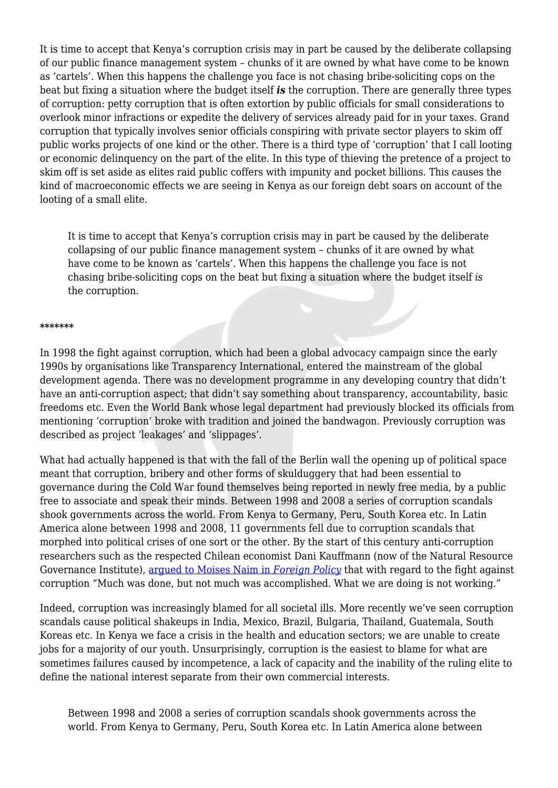It is time to accept that Kenya's corruption crisis may in part be caused by the deliberate collapsing of our public finance management system – chunks of it are owned by what have come to be known as 'cartels'. When this happens the challenge you face is not chasing bribe-soliciting cops on the beat but fixing a situation where the budget itself *is* the corruption. There are generally three types of corruption: petty corruption that is often extortion by public officials for small considerations to overlook minor infractions or expedite the delivery of services already paid for in your taxes. Grand corruption that typically involves senior officials conspiring with private sector players to skim off public works projects of one kind or the other. There is a third type of 'corruption' that I call looting or economic delinquency on the part of the elite. In this type of thieving the pretence of a project to skim off is set aside as elites raid public coffers with impunity and pocket billions. This causes the kind of macroeconomic effects we are seeing in Kenya as our foreign debt soars on account of the looting of a small elite.

It is time to accept that Kenya's corruption crisis may in part be caused by the deliberate collapsing of our public finance management system – chunks of it are owned by what have come to be known as 'cartels'. When this happens the challenge you face is not chasing bribe-soliciting cops on the beat but fixing a situation where the budget itself *is* the corruption.

## **\*\*\*\*\*\*\***

In 1998 the fight against corruption, which had been a global advocacy campaign since the early 1990s by organisations like Transparency International, entered the mainstream of the global development agenda. There was no development programme in any developing country that didn't have an anti-corruption aspect; that didn't say something about transparency, accountability, basic freedoms etc. Even the World Bank whose legal department had previously blocked its officials from mentioning 'corruption' broke with tradition and joined the bandwagon. Previously corruption was described as project 'leakages' and 'slippages'.

What had actually happened is that with the fall of the Berlin wall the opening up of political space meant that corruption, bribery and other forms of skulduggery that had been essential to governance during the Cold War found themselves being reported in newly free media, by a public free to associate and speak their minds. Between 1998 and 2008 a series of corruption scandals shook governments across the world. From Kenya to Germany, Peru, South Korea etc. In Latin America alone between 1998 and 2008, 11 governments fell due to corruption scandals that morphed into political crises of one sort or the other. By the start of this century anti-corruption researchers such as the respected Chilean economist Dani Kauffmann (now of the Natural Resource Governance Institute), [argued to Moises Naim in](http://foreignpolicy.com/2009/10/23/bad-medicine-2/) *[Foreign Policy](http://foreignpolicy.com/2009/10/23/bad-medicine-2/)* that with regard to the fight against corruption "Much was done, but not much was accomplished. What we are doing is not working."

Indeed, corruption was increasingly blamed for all societal ills. More recently we've seen corruption scandals cause political shakeups in India, Mexico, Brazil, Bulgaria, Thailand, Guatemala, South Koreas etc. In Kenya we face a crisis in the health and education sectors; we are unable to create jobs for a majority of our youth. Unsurprisingly, corruption is the easiest to blame for what are sometimes failures caused by incompetence, a lack of capacity and the inability of the ruling elite to define the national interest separate from their own commercial interests.

Between 1998 and 2008 a series of corruption scandals shook governments across the world. From Kenya to Germany, Peru, South Korea etc. In Latin America alone between